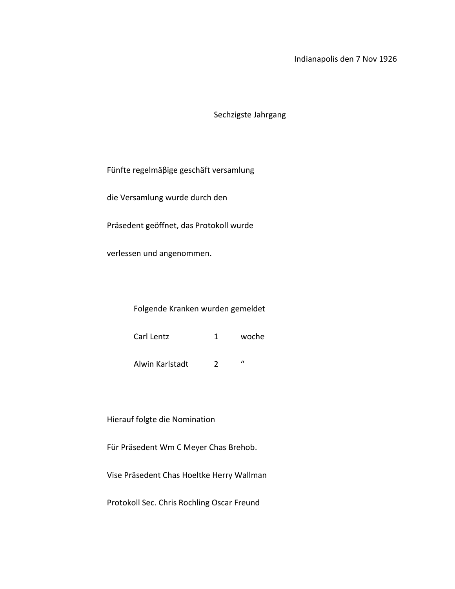## Indianapolis den 7 Nov 1926

Sechzigste Jahrgang

Fünfte regelmäβige geschäft versamlung

die Versamlung wurde durch den

Präsedent geöffnet, das Protokoll wurde

verlessen und angenommen.

## Folgende Kranken wurden gemeldet

| Carl Lentz | woche |
|------------|-------|
|            |       |

Alwin Karlstadt 2 "

Hierauf folgte die Nomination

Für Präsedent Wm C Meyer Chas Brehob.

Vise Präsedent Chas Hoeltke Herry Wallman

Protokoll Sec. Chris Rochling Oscar Freund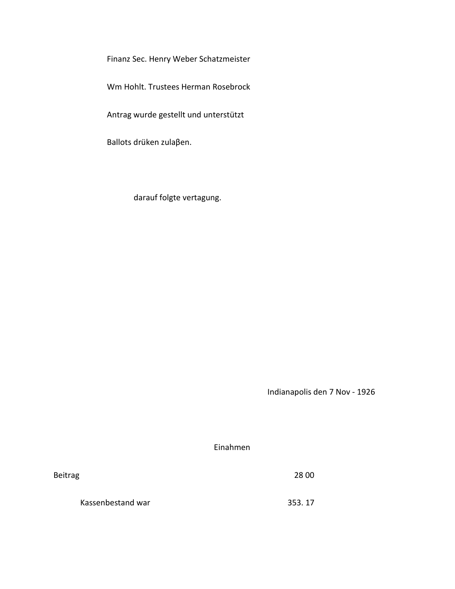Finanz Sec. Henry Weber Schatzmeister

Wm Hohlt. Trustees Herman Rosebrock

Antrag wurde gestellt und unterstützt

Ballots drüken zulaβen.

darauf folgte vertagung.

Indianapolis den 7 Nov - 1926

Einahmen

Beitrag 28 00

Kassenbestand war 353. 17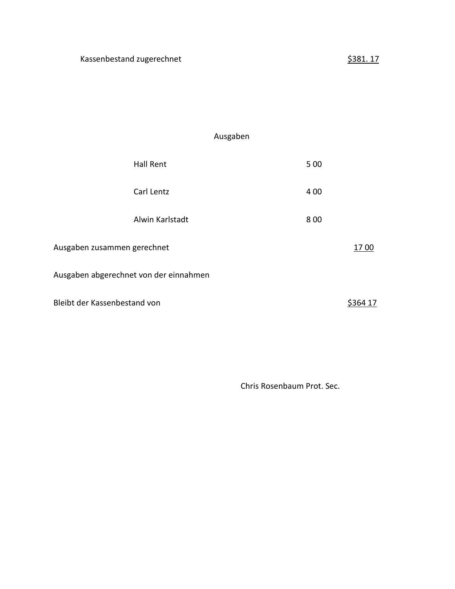## Ausgaben

|                                        | <b>Hall Rent</b> | 5 0 0 |         |  |
|----------------------------------------|------------------|-------|---------|--|
|                                        | Carl Lentz       | 4 0 0 |         |  |
|                                        | Alwin Karlstadt  | 8 0 0 |         |  |
| Ausgaben zusammen gerechnet            |                  |       | 1700    |  |
| Ausgaben abgerechnet von der einnahmen |                  |       |         |  |
| Bleibt der Kassenbestand von           |                  |       | S364 17 |  |

Chris Rosenbaum Prot. Sec.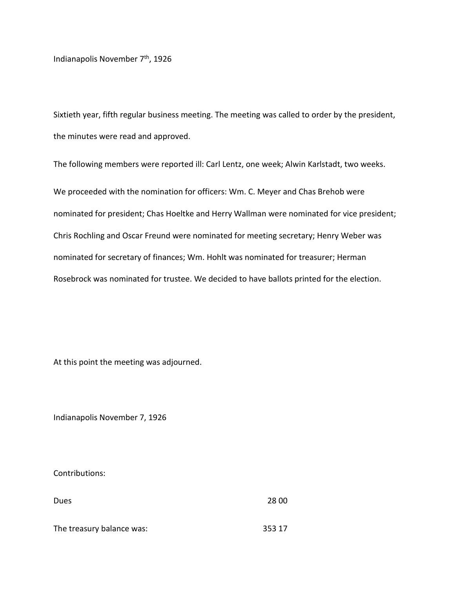Indianapolis November 7th, 1926

Sixtieth year, fifth regular business meeting. The meeting was called to order by the president, the minutes were read and approved.

The following members were reported ill: Carl Lentz, one week; Alwin Karlstadt, two weeks. We proceeded with the nomination for officers: Wm. C. Meyer and Chas Brehob were nominated for president; Chas Hoeltke and Herry Wallman were nominated for vice president; Chris Rochling and Oscar Freund were nominated for meeting secretary; Henry Weber was nominated for secretary of finances; Wm. Hohlt was nominated for treasurer; Herman Rosebrock was nominated for trustee. We decided to have ballots printed for the election.

At this point the meeting was adjourned.

Indianapolis November 7, 1926

Contributions:

| Dues                      | 28 00  |
|---------------------------|--------|
|                           |        |
| The treasury balance was: | 353 17 |